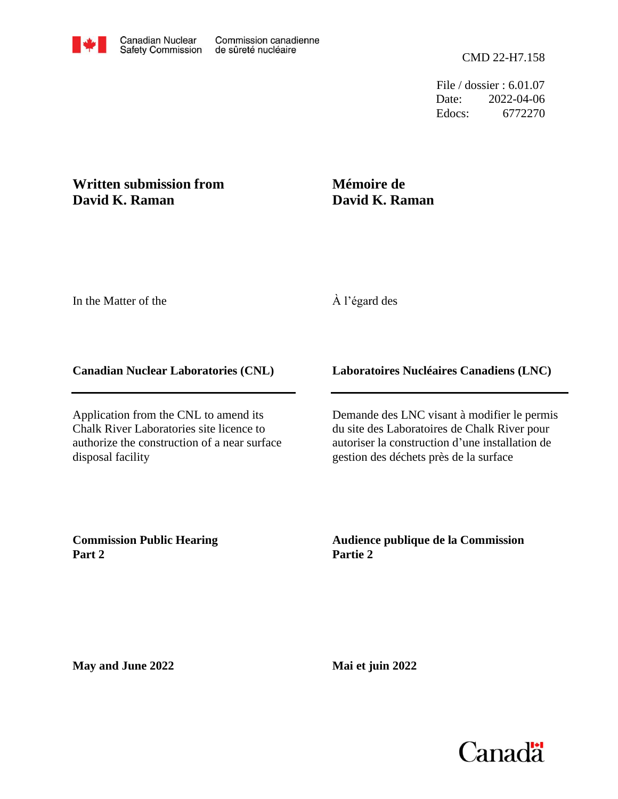File / dossier : 6.01.07 Date: 2022-04-06 Edocs: 6772270

#### **Written submission from David K. Raman**

## **Mémoire de David K. Raman**

In the Matter of the

#### À l'égard des

#### **Canadian Nuclear Laboratories (CNL)**

Application from the CNL to amend its Chalk River Laboratories site licence to authorize the construction of a near surface disposal facility

#### **Laboratoires Nucléaires Canadiens (LNC)**

Demande des LNC visant à modifier le permis du site des Laboratoires de Chalk River pour autoriser la construction d'une installation de gestion des déchets près de la surface

**Commission Public Hearing Part 2**

**Audience publique de la Commission Partie 2**

**May and June 2022**

**Mai et juin 2022**

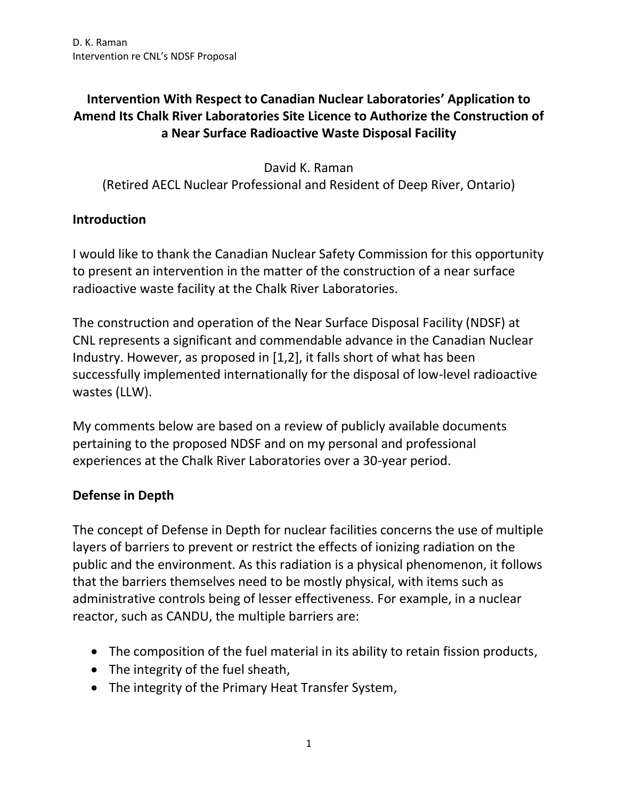# **Intervention With Respect to Canadian Nuclear Laboratories' Application to Amend Its Chalk River Laboratories Site Licence to Authorize the Construction of a Near Surface Radioactive Waste Disposal Facility**

David K. Raman (Retired AECL Nuclear Professional and Resident of Deep River, Ontario)

#### **Introduction**

I would like to thank the Canadian Nuclear Safety Commission for this opportunity to present an intervention in the matter of the construction of a near surface radioactive waste facility at the Chalk River Laboratories.

The construction and operation of the Near Surface Disposal Facility (NDSF) at CNL represents a significant and commendable advance in the Canadian Nuclear Industry. However, as proposed in [1,2], it falls short of what has been successfully implemented internationally for the disposal of low-level radioactive wastes (LLW).

My comments below are based on a review of publicly available documents pertaining to the proposed NDSF and on my personal and professional experiences at the Chalk River Laboratories over a 30-year period.

## **Defense in Depth**

The concept of Defense in Depth for nuclear facilities concerns the use of multiple layers of barriers to prevent or restrict the effects of ionizing radiation on the public and the environment. As this radiation is a physical phenomenon, it follows that the barriers themselves need to be mostly physical, with items such as administrative controls being of lesser effectiveness. For example, in a nuclear reactor, such as CANDU, the multiple barriers are:

- The composition of the fuel material in its ability to retain fission products,
- The integrity of the fuel sheath,
- The integrity of the Primary Heat Transfer System,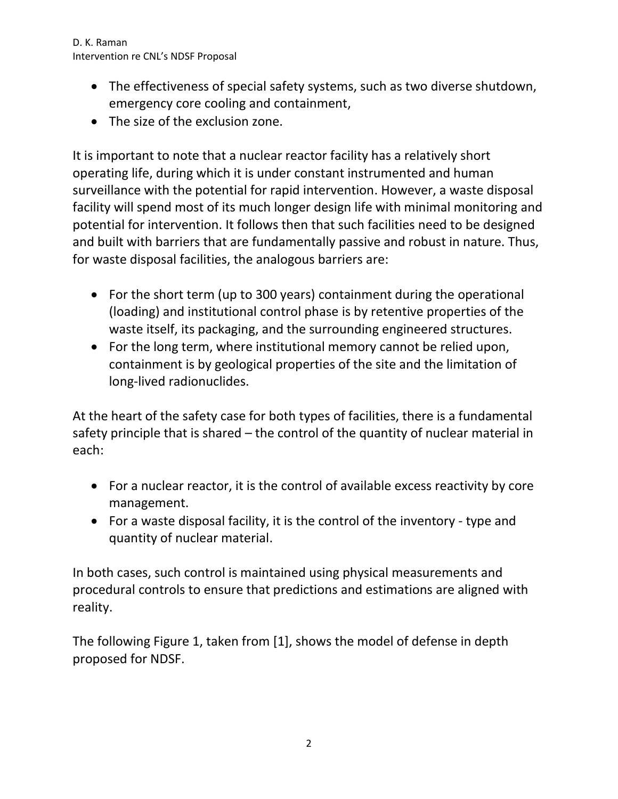D. K. Raman Intervention re CNL's NDSF Proposal

- The effectiveness of special safety systems, such as two diverse shutdown, emergency core cooling and containment,
- The size of the exclusion zone.

It is important to note that a nuclear reactor facility has a relatively short operating life, during which it is under constant instrumented and human surveillance with the potential for rapid intervention. However, a waste disposal facility will spend most of its much longer design life with minimal monitoring and potential for intervention. It follows then that such facilities need to be designed and built with barriers that are fundamentally passive and robust in nature. Thus, for waste disposal facilities, the analogous barriers are:

- For the short term (up to 300 years) containment during the operational (loading) and institutional control phase is by retentive properties of the waste itself, its packaging, and the surrounding engineered structures.
- For the long term, where institutional memory cannot be relied upon, containment is by geological properties of the site and the limitation of long-lived radionuclides.

At the heart of the safety case for both types of facilities, there is a fundamental safety principle that is shared – the control of the quantity of nuclear material in each:

- For a nuclear reactor, it is the control of available excess reactivity by core management.
- For a waste disposal facility, it is the control of the inventory type and quantity of nuclear material.

In both cases, such control is maintained using physical measurements and procedural controls to ensure that predictions and estimations are aligned with reality.

The following Figure 1, taken from [1], shows the model of defense in depth proposed for NDSF.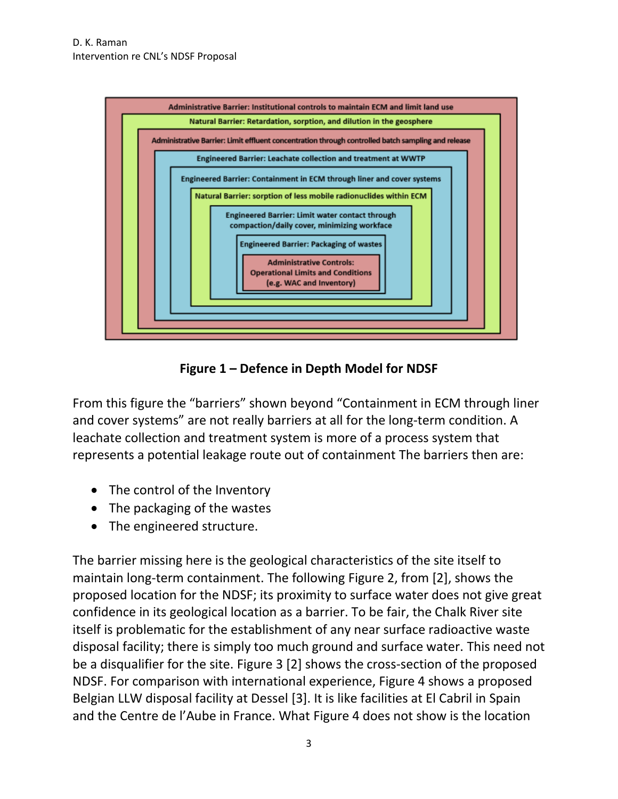

**Figure 1 – Defence in Depth Model for NDSF**

From this figure the "barriers" shown beyond "Containment in ECM through liner and cover systems" are not really barriers at all for the long-term condition. A leachate collection and treatment system is more of a process system that represents a potential leakage route out of containment The barriers then are:

- The control of the Inventory
- The packaging of the wastes
- The engineered structure.

The barrier missing here is the geological characteristics of the site itself to maintain long-term containment. The following Figure 2, from [2], shows the proposed location for the NDSF; its proximity to surface water does not give great confidence in its geological location as a barrier. To be fair, the Chalk River site itself is problematic for the establishment of any near surface radioactive waste disposal facility; there is simply too much ground and surface water. This need not be a disqualifier for the site. Figure 3 [2] shows the cross-section of the proposed NDSF. For comparison with international experience, Figure 4 shows a proposed Belgian LLW disposal facility at Dessel [3]. It is like facilities at El Cabril in Spain and the Centre de l'Aube in France. What Figure 4 does not show is the location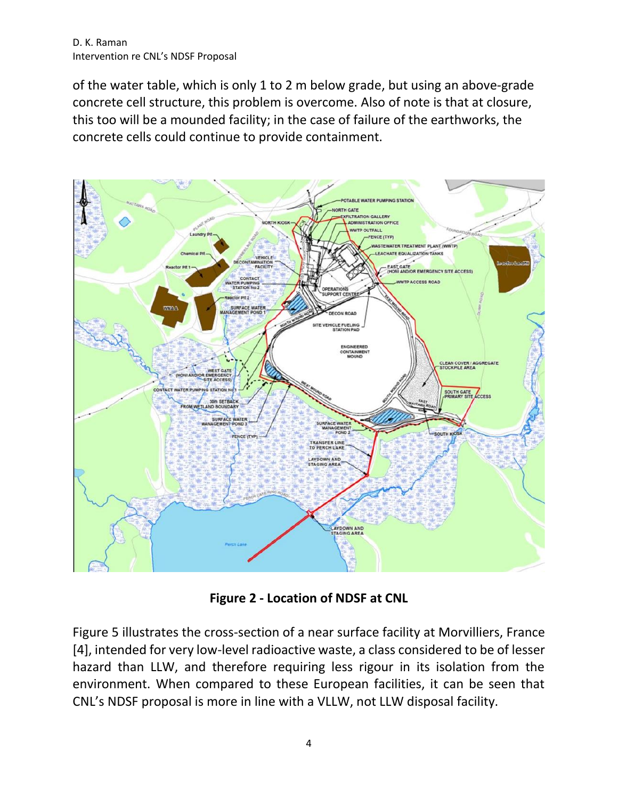of the water table, which is only 1 to 2 m below grade, but using an above-grade concrete cell structure, this problem is overcome. Also of note is that at closure, this too will be a mounded facility; in the case of failure of the earthworks, the concrete cells could continue to provide containment.



**Figure 2 - Location of NDSF at CNL**

Figure 5 illustrates the cross-section of a near surface facility at Morvilliers, France [4], intended for very low-level radioactive waste, a class considered to be of lesser hazard than LLW, and therefore requiring less rigour in its isolation from the environment. When compared to these European facilities, it can be seen that CNL's NDSF proposal is more in line with a VLLW, not LLW disposal facility.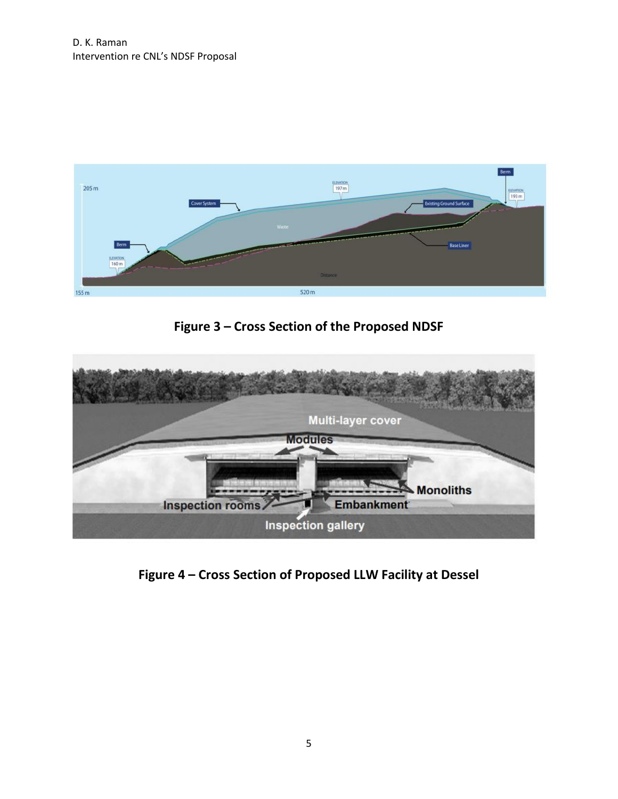

**Figure 3 – Cross Section of the Proposed NDSF**



**Figure 4 – Cross Section of Proposed LLW Facility at Dessel**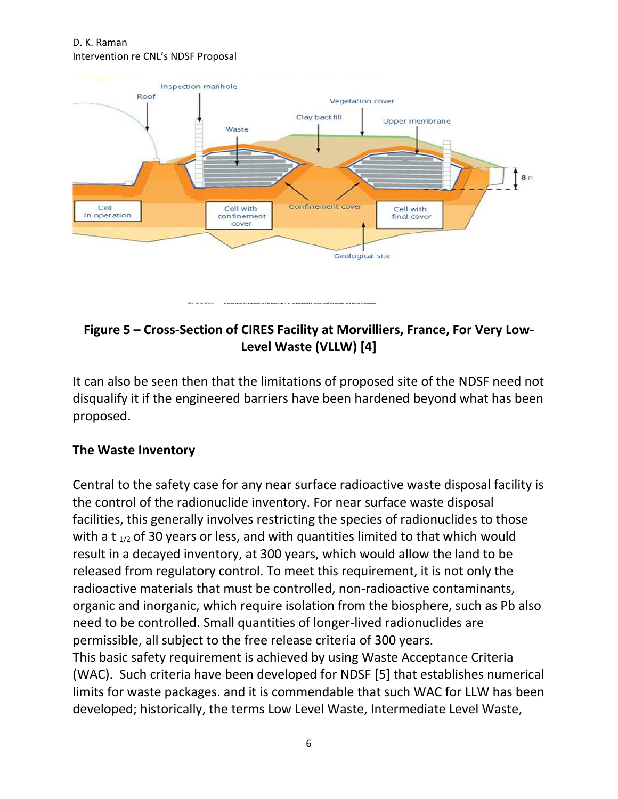D. K. Raman Intervention re CNL's NDSF Proposal



# **Figure 5 – Cross-Section of CIRES Facility at Morvilliers, France, For Very Low-Level Waste (VLLW) [4]**

It can also be seen then that the limitations of proposed site of the NDSF need not disqualify it if the engineered barriers have been hardened beyond what has been proposed.

#### **The Waste Inventory**

Central to the safety case for any near surface radioactive waste disposal facility is the control of the radionuclide inventory. For near surface waste disposal facilities, this generally involves restricting the species of radionuclides to those with a t  $_{1/2}$  of 30 years or less, and with quantities limited to that which would result in a decayed inventory, at 300 years, which would allow the land to be released from regulatory control. To meet this requirement, it is not only the radioactive materials that must be controlled, non-radioactive contaminants, organic and inorganic, which require isolation from the biosphere, such as Pb also need to be controlled. Small quantities of longer-lived radionuclides are permissible, all subject to the free release criteria of 300 years. This basic safety requirement is achieved by using Waste Acceptance Criteria (WAC). Such criteria have been developed for NDSF [5] that establishes numerical limits for waste packages. and it is commendable that such WAC for LLW has been developed; historically, the terms Low Level Waste, Intermediate Level Waste,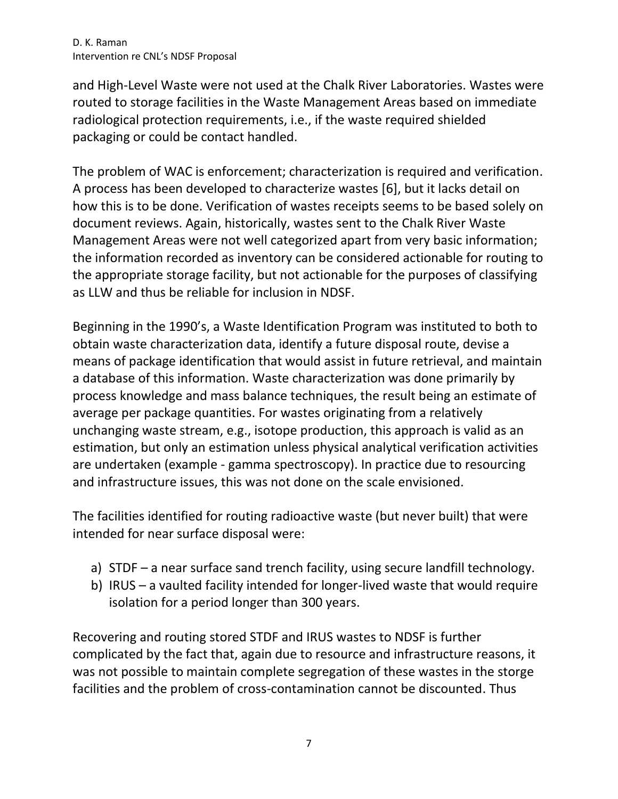D. K. Raman Intervention re CNL's NDSF Proposal

and High-Level Waste were not used at the Chalk River Laboratories. Wastes were routed to storage facilities in the Waste Management Areas based on immediate radiological protection requirements, i.e., if the waste required shielded packaging or could be contact handled.

The problem of WAC is enforcement; characterization is required and verification. A process has been developed to characterize wastes [6], but it lacks detail on how this is to be done. Verification of wastes receipts seems to be based solely on document reviews. Again, historically, wastes sent to the Chalk River Waste Management Areas were not well categorized apart from very basic information; the information recorded as inventory can be considered actionable for routing to the appropriate storage facility, but not actionable for the purposes of classifying as LLW and thus be reliable for inclusion in NDSF.

Beginning in the 1990's, a Waste Identification Program was instituted to both to obtain waste characterization data, identify a future disposal route, devise a means of package identification that would assist in future retrieval, and maintain a database of this information. Waste characterization was done primarily by process knowledge and mass balance techniques, the result being an estimate of average per package quantities. For wastes originating from a relatively unchanging waste stream, e.g., isotope production, this approach is valid as an estimation, but only an estimation unless physical analytical verification activities are undertaken (example - gamma spectroscopy). In practice due to resourcing and infrastructure issues, this was not done on the scale envisioned.

The facilities identified for routing radioactive waste (but never built) that were intended for near surface disposal were:

- a) STDF a near surface sand trench facility, using secure landfill technology.
- b) IRUS a vaulted facility intended for longer-lived waste that would require isolation for a period longer than 300 years.

Recovering and routing stored STDF and IRUS wastes to NDSF is further complicated by the fact that, again due to resource and infrastructure reasons, it was not possible to maintain complete segregation of these wastes in the storge facilities and the problem of cross-contamination cannot be discounted. Thus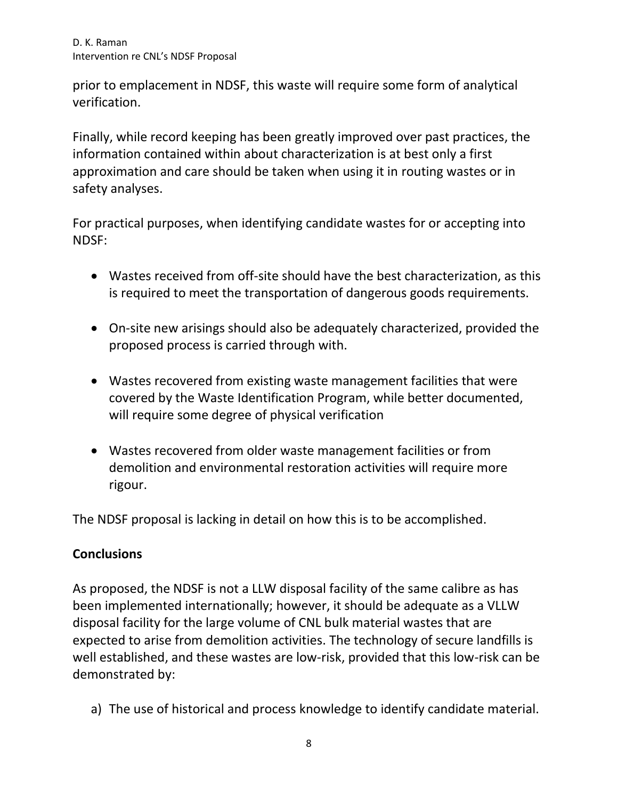prior to emplacement in NDSF, this waste will require some form of analytical verification.

Finally, while record keeping has been greatly improved over past practices, the information contained within about characterization is at best only a first approximation and care should be taken when using it in routing wastes or in safety analyses.

For practical purposes, when identifying candidate wastes for or accepting into NDSF:

- Wastes received from off-site should have the best characterization, as this is required to meet the transportation of dangerous goods requirements.
- On-site new arisings should also be adequately characterized, provided the proposed process is carried through with.
- Wastes recovered from existing waste management facilities that were covered by the Waste Identification Program, while better documented, will require some degree of physical verification
- Wastes recovered from older waste management facilities or from demolition and environmental restoration activities will require more rigour.

The NDSF proposal is lacking in detail on how this is to be accomplished.

## **Conclusions**

As proposed, the NDSF is not a LLW disposal facility of the same calibre as has been implemented internationally; however, it should be adequate as a VLLW disposal facility for the large volume of CNL bulk material wastes that are expected to arise from demolition activities. The technology of secure landfills is well established, and these wastes are low-risk, provided that this low-risk can be demonstrated by:

a) The use of historical and process knowledge to identify candidate material.